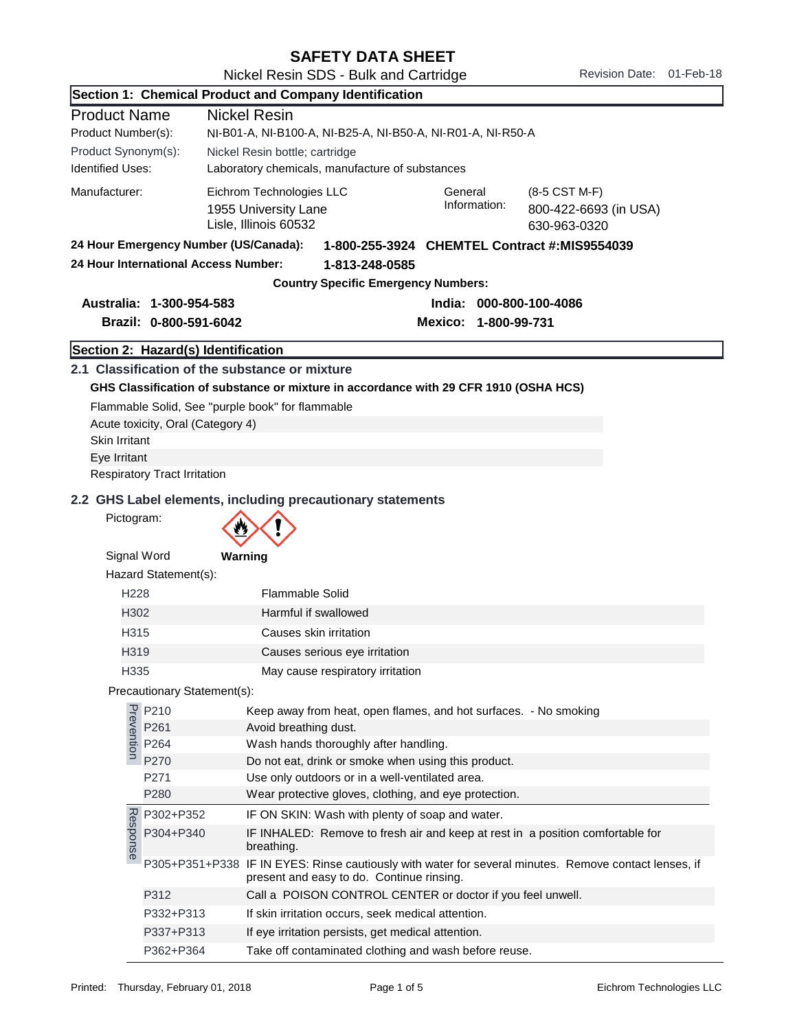| <b>SAFETY DATA SHEET</b> |  |
|--------------------------|--|
|--------------------------|--|

|                         |                                        | Section 1: Chemical Product and Company Identification                                                                                                                                     |  |  |  |
|-------------------------|----------------------------------------|--------------------------------------------------------------------------------------------------------------------------------------------------------------------------------------------|--|--|--|
| <b>Product Name</b>     |                                        | <b>Nickel Resin</b>                                                                                                                                                                        |  |  |  |
| Product Number(s):      |                                        | NI-B01-A, NI-B100-A, NI-B25-A, NI-B50-A, NI-R01-A, NI-R50-A                                                                                                                                |  |  |  |
| Product Synonym(s):     |                                        | Nickel Resin bottle; cartridge                                                                                                                                                             |  |  |  |
| <b>Identified Uses:</b> |                                        | Laboratory chemicals, manufacture of substances                                                                                                                                            |  |  |  |
| Manufacturer:           |                                        | Eichrom Technologies LLC<br>General<br>(8-5 CST M-F)<br>Information:<br>1955 University Lane<br>800-422-6693 (in USA)<br>Lisle, Illinois 60532<br>630-963-0320                             |  |  |  |
|                         | 24 Hour Emergency Number (US/Canada):  | 1-800-255-3924 CHEMTEL Contract #:MIS9554039                                                                                                                                               |  |  |  |
|                         | 24 Hour International Access Number:   | 1-813-248-0585                                                                                                                                                                             |  |  |  |
|                         |                                        | <b>Country Specific Emergency Numbers:</b>                                                                                                                                                 |  |  |  |
|                         | Australia: 1-300-954-583               | India: 000-800-100-4086                                                                                                                                                                    |  |  |  |
|                         | Brazil: 0-800-591-6042                 | Mexico: 1-800-99-731                                                                                                                                                                       |  |  |  |
|                         |                                        |                                                                                                                                                                                            |  |  |  |
|                         | Section 2: Hazard(s) Identification    |                                                                                                                                                                                            |  |  |  |
|                         | Acute toxicity, Oral (Category 4)      | 2.1 Classification of the substance or mixture<br>GHS Classification of substance or mixture in accordance with 29 CFR 1910 (OSHA HCS)<br>Flammable Solid, See "purple book" for flammable |  |  |  |
| Skin Irritant           |                                        |                                                                                                                                                                                            |  |  |  |
| Eye Irritant            |                                        |                                                                                                                                                                                            |  |  |  |
|                         | <b>Respiratory Tract Irritation</b>    |                                                                                                                                                                                            |  |  |  |
| Pictogram:              |                                        | 2.2 GHS Label elements, including precautionary statements                                                                                                                                 |  |  |  |
| Signal Word             | Hazard Statement(s):                   | Warning                                                                                                                                                                                    |  |  |  |
| H <sub>228</sub>        |                                        | <b>Flammable Solid</b>                                                                                                                                                                     |  |  |  |
| H302                    |                                        | Harmful if swallowed                                                                                                                                                                       |  |  |  |
| H315                    |                                        | Causes skin irritation                                                                                                                                                                     |  |  |  |
| H319                    |                                        | Causes serious eye irritation                                                                                                                                                              |  |  |  |
| H335                    |                                        | May cause respiratory irritation                                                                                                                                                           |  |  |  |
|                         | Precautionary Statement(s):            |                                                                                                                                                                                            |  |  |  |
|                         |                                        | Keep away from heat, open flames, and hot surfaces. - No smoking                                                                                                                           |  |  |  |
|                         | P210<br>P261<br>P264<br>P264<br>P270   | Avoid breathing dust.                                                                                                                                                                      |  |  |  |
|                         |                                        | Wash hands thoroughly after handling.                                                                                                                                                      |  |  |  |
|                         | P270                                   | Do not eat, drink or smoke when using this product.                                                                                                                                        |  |  |  |
|                         | P271                                   | Use only outdoors or in a well-ventilated area.                                                                                                                                            |  |  |  |
|                         | P280                                   | Wear protective gloves, clothing, and eye protection.                                                                                                                                      |  |  |  |
|                         |                                        | IF ON SKIN: Wash with plenty of soap and water.                                                                                                                                            |  |  |  |
|                         | 22 P302+P352<br>P304+P340<br>P304+P340 | IF INHALED: Remove to fresh air and keep at rest in a position comfortable for<br>breathing.                                                                                               |  |  |  |
|                         |                                        | P305+P351+P338 IF IN EYES: Rinse cautiously with water for several minutes. Remove contact lenses, if<br>present and easy to do. Continue rinsing.                                         |  |  |  |
|                         | P312                                   | Call a POISON CONTROL CENTER or doctor if you feel unwell.                                                                                                                                 |  |  |  |
|                         | P332+P313                              | If skin irritation occurs, seek medical attention.                                                                                                                                         |  |  |  |
|                         | P337+P313                              | If eye irritation persists, get medical attention.                                                                                                                                         |  |  |  |

P362+P364 Take off contaminated clothing and wash before reuse.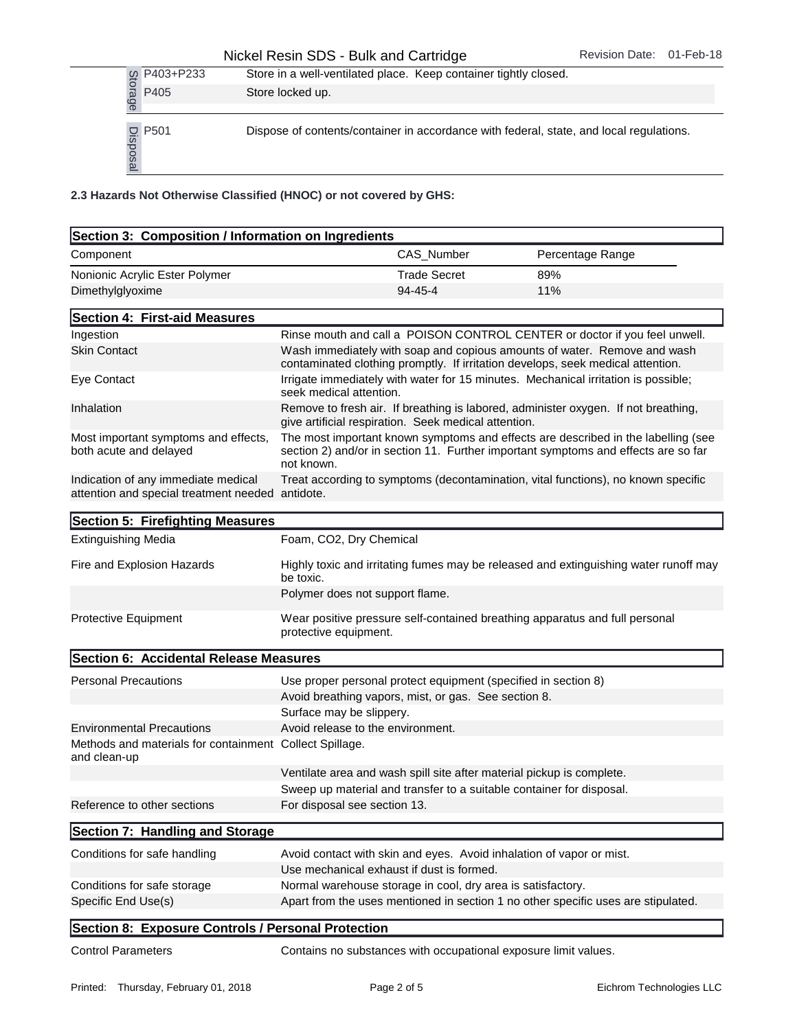|                  | P403+P233                      | Store in a well-ventilated place. Keep container tightly closed.   |                     |                                                                                         |
|------------------|--------------------------------|--------------------------------------------------------------------|---------------------|-----------------------------------------------------------------------------------------|
|                  | Storage<br>P405                | Store locked up.                                                   |                     |                                                                                         |
|                  | P501<br>Disposal               |                                                                    |                     | Dispose of contents/container in accordance with federal, state, and local regulations. |
|                  |                                | 2.3 Hazards Not Otherwise Classified (HNOC) or not covered by GHS: |                     |                                                                                         |
|                  |                                | Section 3: Composition / Information on Ingredients                |                     |                                                                                         |
| Component        |                                |                                                                    | <b>CAS Number</b>   | Percentage Range                                                                        |
|                  | Nonionic Acrylic Ester Polymer |                                                                    | <b>Trade Secret</b> | 89%                                                                                     |
| Dimethylglyoxime |                                |                                                                    | $94 - 45 - 4$       | 11%                                                                                     |

| Section 3: Composition / Information on Ingredients                                     |                                                                                                                                                                                       |                     |                                                                                                                                                             |
|-----------------------------------------------------------------------------------------|---------------------------------------------------------------------------------------------------------------------------------------------------------------------------------------|---------------------|-------------------------------------------------------------------------------------------------------------------------------------------------------------|
| Component                                                                               |                                                                                                                                                                                       | CAS_Number          | Percentage Range                                                                                                                                            |
| Nonionic Acrylic Ester Polymer                                                          |                                                                                                                                                                                       | <b>Trade Secret</b> | 89%                                                                                                                                                         |
| Dimethylglyoxime                                                                        |                                                                                                                                                                                       | $94 - 45 - 4$       | 11%                                                                                                                                                         |
| Section 4: First-aid Measures                                                           |                                                                                                                                                                                       |                     |                                                                                                                                                             |
| Ingestion                                                                               |                                                                                                                                                                                       |                     | Rinse mouth and call a POISON CONTROL CENTER or doctor if you feel unwell.                                                                                  |
| <b>Skin Contact</b>                                                                     |                                                                                                                                                                                       |                     | Wash immediately with soap and copious amounts of water. Remove and wash<br>contaminated clothing promptly. If irritation develops, seek medical attention. |
| Eye Contact                                                                             | seek medical attention.                                                                                                                                                               |                     | Irrigate immediately with water for 15 minutes. Mechanical irritation is possible;                                                                          |
| Inhalation                                                                              | give artificial respiration. Seek medical attention.                                                                                                                                  |                     | Remove to fresh air. If breathing is labored, administer oxygen. If not breathing,                                                                          |
| Most important symptoms and effects,<br>both acute and delayed                          | The most important known symptoms and effects are described in the labelling (see<br>section 2) and/or in section 11. Further important symptoms and effects are so far<br>not known. |                     |                                                                                                                                                             |
| Indication of any immediate medical<br>attention and special treatment needed antidote. | Treat according to symptoms (decontamination, vital functions), no known specific                                                                                                     |                     |                                                                                                                                                             |
| Section 5: Firefighting Measures                                                        |                                                                                                                                                                                       |                     |                                                                                                                                                             |
| <b>Extinguishing Media</b>                                                              | Foam, CO2, Dry Chemical                                                                                                                                                               |                     |                                                                                                                                                             |
| Fire and Explosion Hazards                                                              | Highly toxic and irritating fumes may be released and extinguishing water runoff may<br>be toxic.                                                                                     |                     |                                                                                                                                                             |
|                                                                                         | Polymer does not support flame.                                                                                                                                                       |                     |                                                                                                                                                             |
| Protective Equipment                                                                    | protective equipment.                                                                                                                                                                 |                     | Wear positive pressure self-contained breathing apparatus and full personal                                                                                 |
| Section 6: Accidental Release Measures                                                  |                                                                                                                                                                                       |                     |                                                                                                                                                             |
| <b>Personal Precautions</b>                                                             | Use proper personal protect equipment (specified in section 8)                                                                                                                        |                     |                                                                                                                                                             |
|                                                                                         | Avoid breathing vapors, mist, or gas. See section 8.                                                                                                                                  |                     |                                                                                                                                                             |
|                                                                                         | Surface may be slippery.                                                                                                                                                              |                     |                                                                                                                                                             |
| <b>Environmental Precautions</b>                                                        | Avoid release to the environment.                                                                                                                                                     |                     |                                                                                                                                                             |
| Methods and materials for containment Collect Spillage.<br>and clean-up                 |                                                                                                                                                                                       |                     |                                                                                                                                                             |
|                                                                                         |                                                                                                                                                                                       |                     | Ventilate area and wash spill site after material pickup is complete.                                                                                       |
|                                                                                         |                                                                                                                                                                                       |                     | Sweep up material and transfer to a suitable container for disposal.                                                                                        |
| Reference to other sections                                                             | For disposal see section 13.                                                                                                                                                          |                     |                                                                                                                                                             |
| Section 7: Handling and Storage                                                         |                                                                                                                                                                                       |                     |                                                                                                                                                             |
| Conditions for safe handling                                                            |                                                                                                                                                                                       |                     | Avoid contact with skin and eyes. Avoid inhalation of vapor or mist.                                                                                        |
|                                                                                         | Use mechanical exhaust if dust is formed.                                                                                                                                             |                     |                                                                                                                                                             |
| Conditions for safe storage                                                             | Normal warehouse storage in cool, dry area is satisfactory.                                                                                                                           |                     |                                                                                                                                                             |
| Specific End Use(s)                                                                     |                                                                                                                                                                                       |                     | Apart from the uses mentioned in section 1 no other specific uses are stipulated.                                                                           |
| Section 8: Exposure Controls / Personal Protection                                      |                                                                                                                                                                                       |                     |                                                                                                                                                             |
| <b>Control Parameters</b>                                                               |                                                                                                                                                                                       |                     | Contains no substances with occupational exposure limit values.                                                                                             |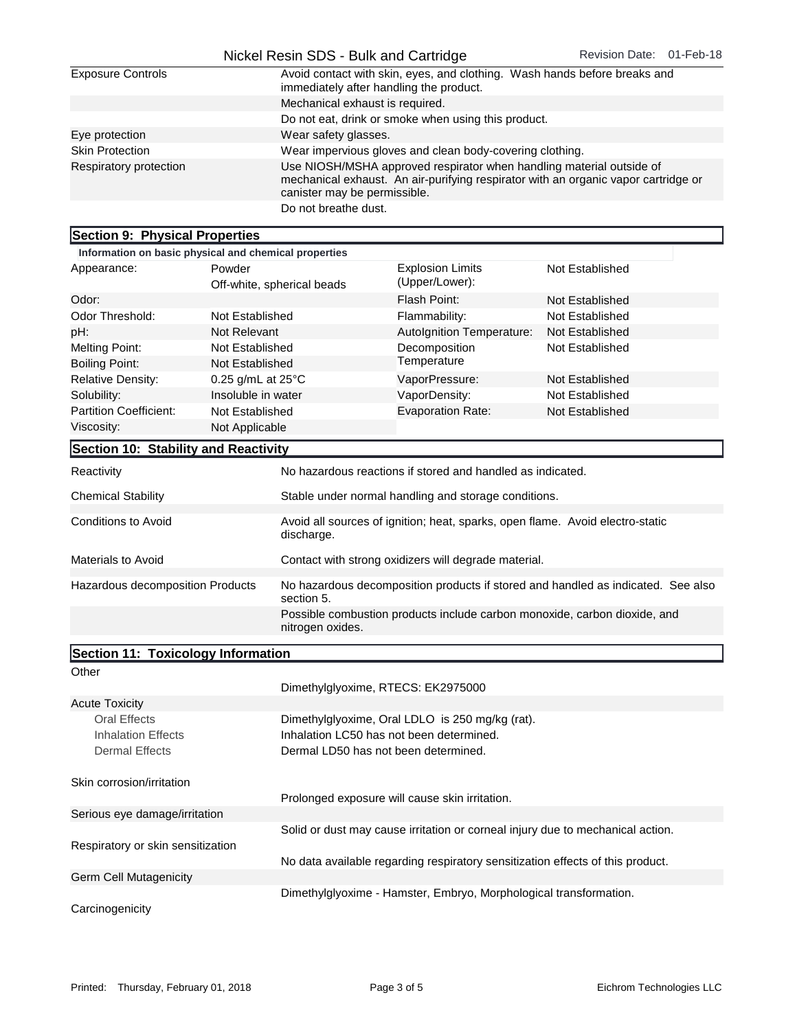|                          | Nickel Resin SDS - Bulk and Cartridge                                                                                                                                                      | Revision Date: 01-Feb-18 |  |
|--------------------------|--------------------------------------------------------------------------------------------------------------------------------------------------------------------------------------------|--------------------------|--|
| <b>Exposure Controls</b> | Avoid contact with skin, eyes, and clothing. Wash hands before breaks and<br>immediately after handling the product.                                                                       |                          |  |
|                          | Mechanical exhaust is required.                                                                                                                                                            |                          |  |
|                          | Do not eat, drink or smoke when using this product.                                                                                                                                        |                          |  |
| Eye protection           | Wear safety glasses.                                                                                                                                                                       |                          |  |
| <b>Skin Protection</b>   | Wear impervious gloves and clean body-covering clothing.                                                                                                                                   |                          |  |
| Respiratory protection   | Use NIOSH/MSHA approved respirator when handling material outside of<br>mechanical exhaust. An air-purifying respirator with an organic vapor cartridge or<br>canister may be permissible. |                          |  |
|                          | Do not breathe dust.                                                                                                                                                                       |                          |  |

| Section 9: Physical Properties                                                                                            |                             |                                                      |                                                                                  |                        |
|---------------------------------------------------------------------------------------------------------------------------|-----------------------------|------------------------------------------------------|----------------------------------------------------------------------------------|------------------------|
| Information on basic physical and chemical properties                                                                     |                             |                                                      |                                                                                  |                        |
| Appearance:                                                                                                               | Powder                      |                                                      | <b>Explosion Limits</b>                                                          | <b>Not Established</b> |
|                                                                                                                           |                             | Off-white, spherical beads                           | (Upper/Lower):                                                                   |                        |
| Odor:                                                                                                                     |                             |                                                      | Flash Point:                                                                     | Not Established        |
| Odor Threshold:                                                                                                           | Not Established             |                                                      | Flammability:                                                                    | Not Established        |
| pH:                                                                                                                       | Not Relevant                |                                                      | Autolgnition Temperature:                                                        | <b>Not Established</b> |
| <b>Melting Point:</b>                                                                                                     | Not Established             |                                                      | Decomposition                                                                    | Not Established        |
| <b>Boiling Point:</b>                                                                                                     | Not Established             |                                                      | Temperature                                                                      |                        |
| <b>Relative Density:</b>                                                                                                  | 0.25 g/mL at $25^{\circ}$ C |                                                      | VaporPressure:                                                                   | Not Established        |
| Solubility:                                                                                                               | Insoluble in water          |                                                      | VaporDensity:                                                                    | <b>Not Established</b> |
| <b>Partition Coefficient:</b>                                                                                             | Not Established             |                                                      | <b>Evaporation Rate:</b>                                                         | Not Established        |
| Viscosity:                                                                                                                | Not Applicable              |                                                      |                                                                                  |                        |
| Section 10: Stability and Reactivity                                                                                      |                             |                                                      |                                                                                  |                        |
| Reactivity                                                                                                                |                             |                                                      | No hazardous reactions if stored and handled as indicated.                       |                        |
| <b>Chemical Stability</b>                                                                                                 |                             |                                                      | Stable under normal handling and storage conditions.                             |                        |
| <b>Conditions to Avoid</b><br>Avoid all sources of ignition; heat, sparks, open flame. Avoid electro-static<br>discharge. |                             |                                                      |                                                                                  |                        |
| <b>Materials to Avoid</b>                                                                                                 |                             | Contact with strong oxidizers will degrade material. |                                                                                  |                        |
| Hazardous decomposition Products<br>section 5.                                                                            |                             |                                                      | No hazardous decomposition products if stored and handled as indicated. See also |                        |
| Possible combustion products include carbon monoxide, carbon dioxide, and<br>nitrogen oxides.                             |                             |                                                      |                                                                                  |                        |
| $\mathsf{R}_{\mathsf{action}}$ 11. Toxicology Information                                                                 |                             |                                                      |                                                                                  |                        |

| Section 11: Toxicology Information |                                                                                |
|------------------------------------|--------------------------------------------------------------------------------|
| Other                              |                                                                                |
|                                    | Dimethylglyoxime, RTECS: EK2975000                                             |
| <b>Acute Toxicity</b>              |                                                                                |
| Oral Effects                       | Dimethylglyoxime, Oral LDLO is 250 mg/kg (rat).                                |
| Inhalation Effects                 | Inhalation LC50 has not been determined.                                       |
| Dermal Effects                     | Dermal LD50 has not been determined.                                           |
| Skin corrosion/irritation          |                                                                                |
|                                    | Prolonged exposure will cause skin irritation.                                 |
| Serious eye damage/irritation      |                                                                                |
|                                    | Solid or dust may cause irritation or corneal injury due to mechanical action. |
| Respiratory or skin sensitization  |                                                                                |
|                                    | No data available regarding respiratory sensitization effects of this product. |
| <b>Germ Cell Mutagenicity</b>      |                                                                                |
|                                    | Dimethylglyoxime - Hamster, Embryo, Morphological transformation.              |
| Carcinogenicity                    |                                                                                |

٦Ī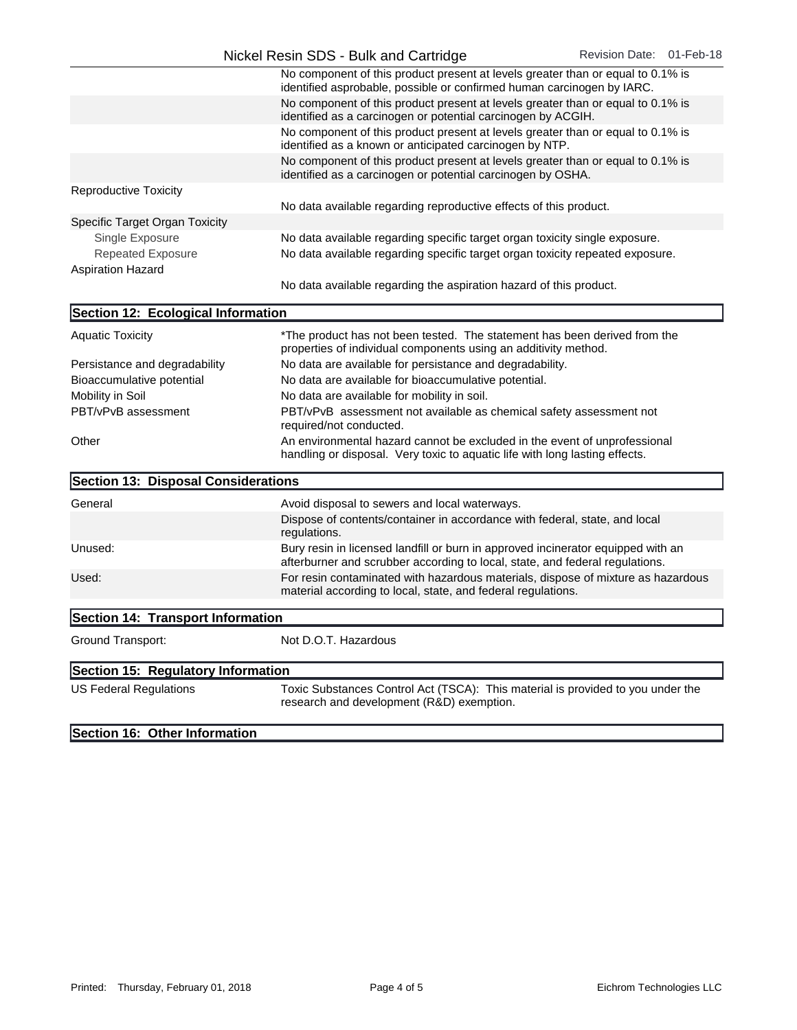|                                | No component of this product present at levels greater than or equal to 0.1% is<br>identified asprobable, possible or confirmed human carcinogen by IARC. |
|--------------------------------|-----------------------------------------------------------------------------------------------------------------------------------------------------------|
|                                | No component of this product present at levels greater than or equal to 0.1% is<br>identified as a carcinogen or potential carcinogen by ACGIH.           |
|                                | No component of this product present at levels greater than or equal to 0.1% is<br>identified as a known or anticipated carcinogen by NTP.                |
|                                | No component of this product present at levels greater than or equal to 0.1% is<br>identified as a carcinogen or potential carcinogen by OSHA.            |
| <b>Reproductive Toxicity</b>   | No data available regarding reproductive effects of this product.                                                                                         |
|                                |                                                                                                                                                           |
| Specific Target Organ Toxicity |                                                                                                                                                           |
| Single Exposure                | No data available regarding specific target organ toxicity single exposure.                                                                               |
| <b>Repeated Exposure</b>       | No data available regarding specific target organ toxicity repeated exposure.                                                                             |
| <b>Aspiration Hazard</b>       |                                                                                                                                                           |
|                                | No data available regarding the aspiration hazard of this product.                                                                                        |

| Section 12: Ecological Information  |                                                                                                                                                          |
|-------------------------------------|----------------------------------------------------------------------------------------------------------------------------------------------------------|
| <b>Aquatic Toxicity</b>             | *The product has not been tested. The statement has been derived from the<br>properties of individual components using an additivity method.             |
| Persistance and degradability       | No data are available for persistance and degradability.                                                                                                 |
| Bioaccumulative potential           | No data are available for bioaccumulative potential.                                                                                                     |
| Mobility in Soil                    | No data are available for mobility in soil.                                                                                                              |
| PBT/vPvB assessment                 | PBT/vPvB assessment not available as chemical safety assessment not<br>required/not conducted.                                                           |
| Other                               | An environmental hazard cannot be excluded in the event of unprofessional<br>handling or disposal. Very toxic to aquatic life with long lasting effects. |
| Section 13: Disposal Considerations |                                                                                                                                                          |
| General                             | Avoid disposal to sewers and local waterways.                                                                                                            |
|                                     | Dispose of contents/container in accordance with federal state and local                                                                                 |

|         | Dispose of contents/container in accordance with federal, state, and local<br>regulations.                                                                       |
|---------|------------------------------------------------------------------------------------------------------------------------------------------------------------------|
| Unused: | Bury resin in licensed landfill or burn in approved incinerator equipped with an<br>afterburner and scrubber according to local, state, and federal regulations. |
| Used:   | For resin contaminated with hazardous materials, dispose of mixture as hazardous<br>material according to local, state, and federal regulations.                 |

| Section 14: Transport Information  |                                                                                                                              |  |
|------------------------------------|------------------------------------------------------------------------------------------------------------------------------|--|
| Ground Transport:                  | Not D.O.T. Hazardous                                                                                                         |  |
| Section 15: Regulatory Information |                                                                                                                              |  |
| <b>US Federal Regulations</b>      | Toxic Substances Control Act (TSCA): This material is provided to you under the<br>research and development (R&D) exemption. |  |

Section 16: Other Information